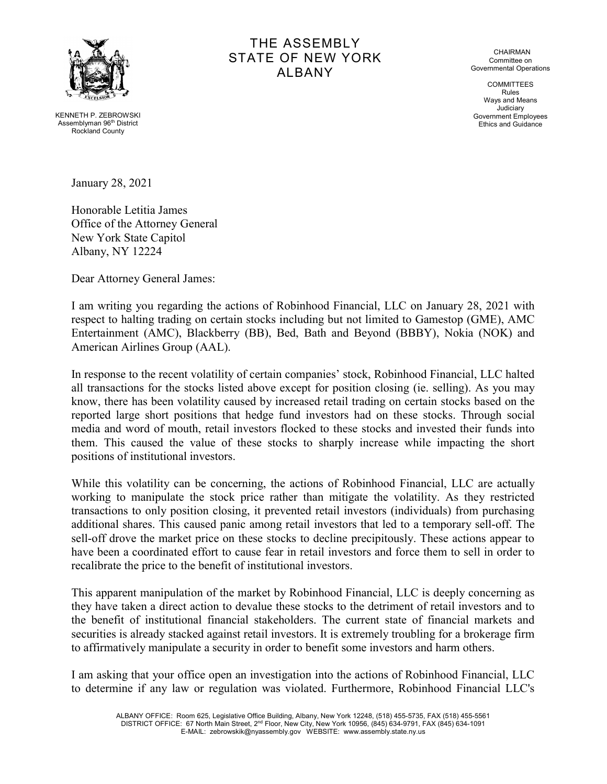

THE ASSEMBLY STATE OF NEW YORK ALBANY

CHAIRMAN Committee on Governmental Operations

**COMMITTEES** Rules Ways and Means Judiciary Government Employees Ethics and Guidance

KENNETH P. ZEBROWSKI Assemblyman 96th District Rockland County

January 28, 2021

Honorable Letitia James Office of the Attorney General New York State Capitol Albany, NY 12224

Dear Attorney General James:

I am writing you regarding the actions of Robinhood Financial, LLC on January 28, 2021 with respect to halting trading on certain stocks including but not limited to Gamestop (GME), AMC Entertainment (AMC), Blackberry (BB), Bed, Bath and Beyond (BBBY), Nokia (NOK) and American Airlines Group (AAL).

In response to the recent volatility of certain companies' stock, Robinhood Financial, LLC halted all transactions for the stocks listed above except for position closing (ie. selling). As you may know, there has been volatility caused by increased retail trading on certain stocks based on the reported large short positions that hedge fund investors had on these stocks. Through social media and word of mouth, retail investors flocked to these stocks and invested their funds into them. This caused the value of these stocks to sharply increase while impacting the short positions of institutional investors.

While this volatility can be concerning, the actions of Robinhood Financial, LLC are actually working to manipulate the stock price rather than mitigate the volatility. As they restricted transactions to only position closing, it prevented retail investors (individuals) from purchasing additional shares. This caused panic among retail investors that led to a temporary sell-off. The sell-off drove the market price on these stocks to decline precipitously. These actions appear to have been a coordinated effort to cause fear in retail investors and force them to sell in order to recalibrate the price to the benefit of institutional investors.

This apparent manipulation of the market by Robinhood Financial, LLC is deeply concerning as they have taken a direct action to devalue these stocks to the detriment of retail investors and to the benefit of institutional financial stakeholders. The current state of financial markets and securities is already stacked against retail investors. It is extremely troubling for a brokerage firm to affirmatively manipulate a security in order to benefit some investors and harm others.

I am asking that your office open an investigation into the actions of Robinhood Financial, LLC to determine if any law or regulation was violated. Furthermore, Robinhood Financial LLC's